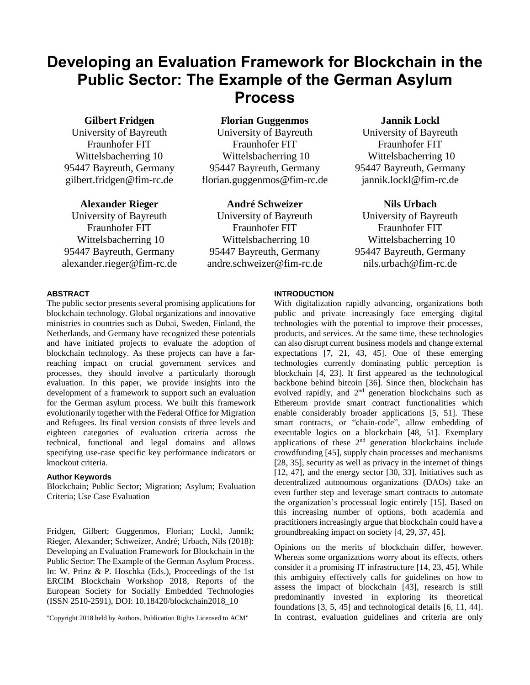# **Developing an Evaluation Framework for Blockchain in the Public Sector: The Example of the German Asylum Process**

## **Gilbert Fridgen**

University of Bayreuth Fraunhofer FIT Wittelsbacherring 10 95447 Bayreuth, Germany gilbert.fridgen@fim-rc.de

## **Alexander Rieger**

University of Bayreuth Fraunhofer FIT Wittelsbacherring 10 95447 Bayreuth, Germany [alexander.rieger@fim-rc.de](mailto:alexander.rieger@fim-rc.de) **Florian Guggenmos**

University of Bayreuth Fraunhofer FIT Wittelsbacherring 10 95447 Bayreuth, Germany florian.guggenmos@fim-rc.de

## **André Schweizer**

University of Bayreuth Fraunhofer FIT Wittelsbacherring 10 95447 Bayreuth, Germany andre.schweizer@fim-rc.de **Jannik Lockl**

University of Bayreuth Fraunhofer FIT Wittelsbacherring 10 95447 Bayreuth, Germany jannik.lockl@fim-rc.de

## **Nils Urbach**

University of Bayreuth Fraunhofer FIT Wittelsbacherring 10 95447 Bayreuth, Germany nils.urbach@fim-rc.de

## **ABSTRACT**

The public sector presents several promising applications for blockchain technology. Global organizations and innovative ministries in countries such as Dubai, Sweden, Finland, the Netherlands, and Germany have recognized these potentials and have initiated projects to evaluate the adoption of blockchain technology. As these projects can have a farreaching impact on crucial government services and processes, they should involve a particularly thorough evaluation. In this paper, we provide insights into the development of a framework to support such an evaluation for the German asylum process. We built this framework evolutionarily together with the Federal Office for Migration and Refugees. Its final version consists of three levels and eighteen categories of evaluation criteria across the technical, functional and legal domains and allows specifying use-case specific key performance indicators or knockout criteria.

#### **Author Keywords**

Blockchain; Public Sector; Migration; Asylum; Evaluation Criteria; Use Case Evaluation

Fridgen, Gilbert; Guggenmos, Florian; Lockl, Jannik; Rieger, Alexander; Schweizer, André; Urbach, Nils (2018): Developing an Evaluation Framework for Blockchain in the Public Sector: The Example of the German Asylum Process. In: W. Prinz & P. Hoschka (Eds.), Proceedings of the 1st ERCIM Blockchain Workshop 2018, Reports of the European Society for Socially Embedded Technologies (ISSN 2510-2591), DOI: 10.18420/blockchain2018\_10

"Copyright 2018 held by Authors. Publication Rights Licensed to ACM"

## **INTRODUCTION**

With digitalization rapidly advancing, organizations both public and private increasingly face emerging digital technologies with the potential to improve their processes, products, and services. At the same time, these technologies can also disrupt current business models and change external expectations [7, 21, 43, 45]. One of these emerging technologies currently dominating public perception is blockchain [4, 23]. It first appeared as the technological backbone behind bitcoin [36]. Since then, blockchain has evolved rapidly, and 2<sup>nd</sup> generation blockchains such as Ethereum provide smart contract functionalities which enable considerably broader applications [5, 51]. These smart contracts, or "chain-code", allow embedding of executable logics on a blockchain [48, 51]. Exemplary applications of these 2<sup>nd</sup> generation blockchains include crowdfunding [45], supply chain processes and mechanisms [28, 35], security as well as privacy in the internet of things [12, 47], and the energy sector [30, 33]. Initiatives such as decentralized autonomous organizations (DAOs) take an even further step and leverage smart contracts to automate the organization's processual logic entirely [15]. Based on this increasing number of options, both academia and practitioners increasingly argue that blockchain could have a groundbreaking impact on society [4, 29, 37, 45].

Opinions on the merits of blockchain differ, however. Whereas some organizations worry about its effects, others consider it a promising IT infrastructure [14, 23, 45]. While this ambiguity effectively calls for guidelines on how to assess the impact of blockchain [43], research is still predominantly invested in exploring its theoretical foundations [3, 5, 45] and technological details [6, 11, 44]. In contrast, evaluation guidelines and criteria are only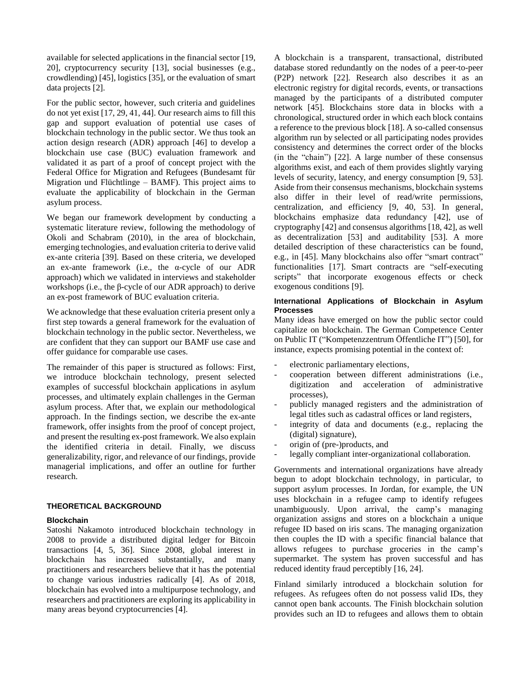available for selected applications in the financial sector [19, 20], cryptocurrency security [13], social businesses (e.g., crowdlending) [45], logistics [35], or the evaluation of smart data projects [2].

For the public sector, however, such criteria and guidelines do not yet exist [17, 29, 41, 44]. Our research aims to fill this gap and support evaluation of potential use cases of blockchain technology in the public sector. We thus took an action design research (ADR) approach [46] to develop a blockchain use case (BUC) evaluation framework and validated it as part of a proof of concept project with the Federal Office for Migration and Refugees (Bundesamt für Migration und Flüchtlinge – BAMF). This project aims to evaluate the applicability of blockchain in the German asylum process.

We began our framework development by conducting a systematic literature review, following the methodology of Okoli and Schabram (2010), in the area of blockchain, emerging technologies, and evaluation criteria to derive valid ex-ante criteria [39]. Based on these criteria, we developed an ex-ante framework (i.e., the α-cycle of our ADR approach) which we validated in interviews and stakeholder workshops (i.e., the β-cycle of our ADR approach) to derive an ex-post framework of BUC evaluation criteria.

We acknowledge that these evaluation criteria present only a first step towards a general framework for the evaluation of blockchain technology in the public sector. Nevertheless, we are confident that they can support our BAMF use case and offer guidance for comparable use cases.

The remainder of this paper is structured as follows: First, we introduce blockchain technology, present selected examples of successful blockchain applications in asylum processes, and ultimately explain challenges in the German asylum process. After that, we explain our methodological approach. In the findings section, we describe the ex-ante framework, offer insights from the proof of concept project, and present the resulting ex-post framework. We also explain the identified criteria in detail. Finally, we discuss generalizability, rigor, and relevance of our findings, provide managerial implications, and offer an outline for further research.

## **THEORETICAL BACKGROUND**

#### **Blockchain**

Satoshi Nakamoto introduced blockchain technology in 2008 to provide a distributed digital ledger for Bitcoin transactions [4, 5, 36]. Since 2008, global interest in blockchain has increased substantially, and many practitioners and researchers believe that it has the potential to change various industries radically [4]. As of 2018, blockchain has evolved into a multipurpose technology, and researchers and practitioners are exploring its applicability in many areas beyond cryptocurrencies [4].

A blockchain is a transparent, transactional, distributed database stored redundantly on the nodes of a peer-to-peer (P2P) network [22]. Research also describes it as an electronic registry for digital records, events, or transactions managed by the participants of a distributed computer network [45]. Blockchains store data in blocks with a chronological, structured order in which each block contains a reference to the previous block [18]. A so-called consensus algorithm run by selected or all participating nodes provides consistency and determines the correct order of the blocks (in the "chain") [22]. A large number of these consensus algorithms exist, and each of them provides slightly varying levels of security, latency, and energy consumption [9, 53]. Aside from their consensus mechanisms, blockchain systems also differ in their level of read/write permissions, centralization, and efficiency [9, 40, 53]. In general, blockchains emphasize data redundancy [42], use of cryptography [42] and consensus algorithms [18, 42], as well as decentralization [53] and auditability [53]. A more detailed description of these characteristics can be found, e.g., in [45]. Many blockchains also offer "smart contract" functionalities [17]. Smart contracts are "self-executing scripts" that incorporate exogenous effects or check exogenous conditions [9].

#### **International Applications of Blockchain in Asylum Processes**

Many ideas have emerged on how the public sector could capitalize on blockchain. The German Competence Center on Public IT ("Kompetenzzentrum Öffentliche IT") [50], for instance, expects promising potential in the context of:

- electronic parliamentary elections,
- cooperation between different administrations (i.e., digitization and acceleration of administrative processes),
- publicly managed registers and the administration of legal titles such as cadastral offices or land registers,
- integrity of data and documents (e.g., replacing the (digital) signature),
- origin of (pre-)products, and
- legally compliant inter-organizational collaboration.

Governments and international organizations have already begun to adopt blockchain technology, in particular, to support asylum processes. In Jordan, for example, the UN uses blockchain in a refugee camp to identify refugees unambiguously. Upon arrival, the camp's managing organization assigns and stores on a blockchain a unique refugee ID based on iris scans. The managing organization then couples the ID with a specific financial balance that allows refugees to purchase groceries in the camp's supermarket. The system has proven successful and has reduced identity fraud perceptibly [16, 24].

Finland similarly introduced a blockchain solution for refugees. As refugees often do not possess valid IDs, they cannot open bank accounts. The Finish blockchain solution provides such an ID to refugees and allows them to obtain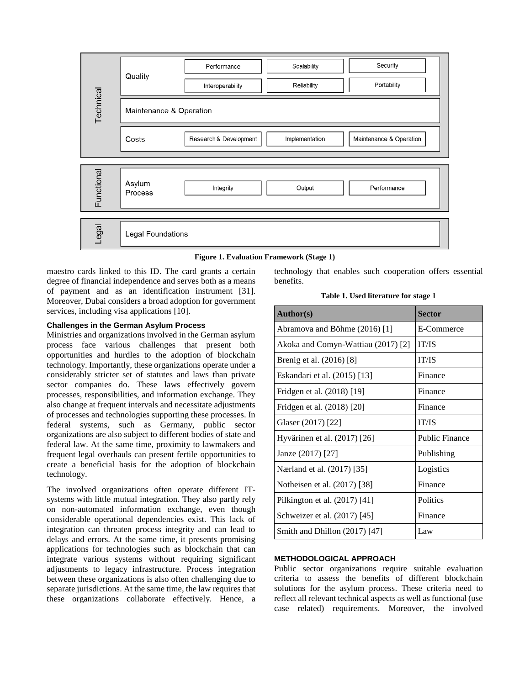



maestro cards linked to this ID. The card grants a certain degree of financial independence and serves both as a means of payment and as an identification instrument [31]. Moreover, Dubai considers a broad adoption for government services, including visa applications [10].

## **Challenges in the German Asylum Process**

Ministries and organizations involved in the German asylum process face various challenges that present both opportunities and hurdles to the adoption of blockchain technology. Importantly, these organizations operate under a considerably stricter set of statutes and laws than private sector companies do. These laws effectively govern processes, responsibilities, and information exchange. They also change at frequent intervals and necessitate adjustments of processes and technologies supporting these processes. In federal systems, such as Germany, public sector organizations are also subject to different bodies of state and federal law. At the same time, proximity to lawmakers and frequent legal overhauls can present fertile opportunities to create a beneficial basis for the adoption of blockchain technology.

The involved organizations often operate different ITsystems with little mutual integration. They also partly rely on non-automated information exchange, even though considerable operational dependencies exist. This lack of integration can threaten process integrity and can lead to delays and errors. At the same time, it presents promising applications for technologies such as blockchain that can integrate various systems without requiring significant adjustments to legacy infrastructure. Process integration between these organizations is also often challenging due to separate jurisdictions. At the same time, the law requires that these organizations collaborate effectively. Hence, a

technology that enables such cooperation offers essential benefits.

**Table 1. Used literature for stage 1**

| <b>Author(s)</b>                   | <b>Sector</b>         |
|------------------------------------|-----------------------|
| Abramova and Böhme (2016) [1]      | E-Commerce            |
| Akoka and Comyn-Wattiau (2017) [2] | <b>IT/IS</b>          |
| Brenig et al. (2016) [8]           | <b>IT/IS</b>          |
| Eskandari et al. (2015) [13]       | Finance               |
| Fridgen et al. (2018) [19]         | Finance               |
| Fridgen et al. (2018) [20]         | Finance               |
| Glaser (2017) [22]                 | <b>IT/IS</b>          |
| Hyvärinen et al. (2017) [26]       | <b>Public Finance</b> |
| Janze (2017) [27]                  | Publishing            |
| Nærland et al. (2017) [35]         | Logistics             |
| Notheisen et al. (2017) [38]       | Finance               |
| Pilkington et al. (2017) [41]      | Politics              |
| Schweizer et al. (2017) [45]       | Finance               |
| Smith and Dhillon $(2017)$ [47]    | Law                   |

## **METHODOLOGICAL APPROACH**

Public sector organizations require suitable evaluation criteria to assess the benefits of different blockchain solutions for the asylum process. These criteria need to reflect all relevant technical aspects as well as functional (use case related) requirements. Moreover, the involved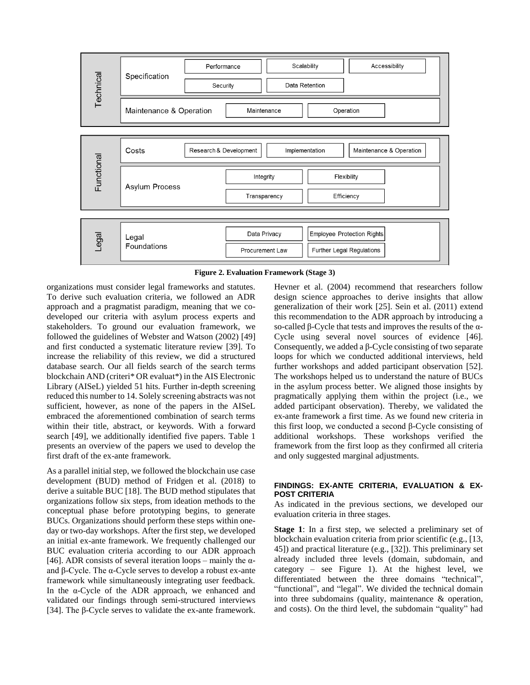

**Figure 2. Evaluation Framework (Stage 3)**

organizations must consider legal frameworks and statutes. To derive such evaluation criteria, we followed an ADR approach and a pragmatist paradigm, meaning that we codeveloped our criteria with asylum process experts and stakeholders. To ground our evaluation framework, we followed the guidelines of Webster and Watson (2002) [49] and first conducted a systematic literature review [39]. To increase the reliability of this review, we did a structured database search. Our all fields search of the search terms blockchain AND (criteri\* OR evaluat\*) in the AIS Electronic Library (AISeL) yielded 51 hits. Further in-depth screening reduced this number to 14. Solely screening abstracts was not sufficient, however, as none of the papers in the AISeL embraced the aforementioned combination of search terms within their title, abstract, or keywords. With a forward search [49], we additionally identified five papers. Table 1 presents an overview of the papers we used to develop the first draft of the ex-ante framework.

As a parallel initial step, we followed the blockchain use case development (BUD) method of Fridgen et al. (2018) to derive a suitable BUC [18]. The BUD method stipulates that organizations follow six steps, from ideation methods to the conceptual phase before prototyping begins, to generate BUCs. Organizations should perform these steps within oneday or two-day workshops. After the first step, we developed an initial ex-ante framework. We frequently challenged our BUC evaluation criteria according to our ADR approach [46]. ADR consists of several iteration loops – mainly the  $\alpha$ and β-Cycle. The α-Cycle serves to develop a robust ex-ante framework while simultaneously integrating user feedback. In the α-Cycle of the ADR approach, we enhanced and validated our findings through semi-structured interviews [34]. The β-Cycle serves to validate the ex-ante framework. Hevner et al. (2004) recommend that researchers follow design science approaches to derive insights that allow generalization of their work [25]. Sein et al. (2011) extend this recommendation to the ADR approach by introducing a so-called β-Cycle that tests and improves the results of the α-Cycle using several novel sources of evidence [46]. Consequently, we added a β-Cycle consisting of two separate loops for which we conducted additional interviews, held further workshops and added participant observation [52]. The workshops helped us to understand the nature of BUCs in the asylum process better. We aligned those insights by pragmatically applying them within the project (i.e., we added participant observation). Thereby, we validated the ex-ante framework a first time. As we found new criteria in this first loop, we conducted a second β-Cycle consisting of additional workshops. These workshops verified the framework from the first loop as they confirmed all criteria and only suggested marginal adjustments.

## **FINDINGS: EX-ANTE CRITERIA, EVALUATION & EX-POST CRITERIA**

As indicated in the previous sections, we developed our evaluation criteria in three stages.

**Stage 1**: In a first step, we selected a preliminary set of blockchain evaluation criteria from prior scientific (e.g., [13, 45]) and practical literature (e.g., [32]). This preliminary set already included three levels (domain, subdomain, and category – see Figure 1). At the highest level, we differentiated between the three domains "technical", "functional", and "legal". We divided the technical domain into three subdomains (quality, maintenance & operation, and costs). On the third level, the subdomain "quality" had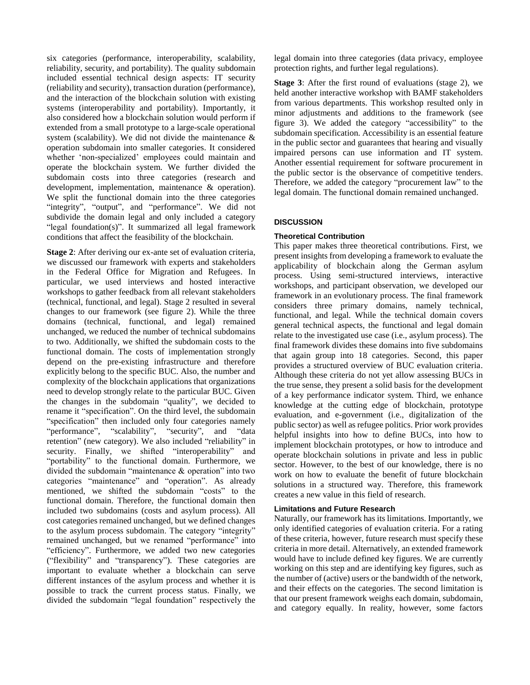six categories (performance, interoperability, scalability, reliability, security, and portability). The quality subdomain included essential technical design aspects: IT security (reliability and security), transaction duration (performance), and the interaction of the blockchain solution with existing systems (interoperability and portability). Importantly, it also considered how a blockchain solution would perform if extended from a small prototype to a large-scale operational system (scalability). We did not divide the maintenance & operation subdomain into smaller categories. It considered whether 'non-specialized' employees could maintain and operate the blockchain system. We further divided the subdomain costs into three categories (research and development, implementation, maintenance & operation). We split the functional domain into the three categories "integrity", "output", and "performance". We did not subdivide the domain legal and only included a category "legal foundation(s)". It summarized all legal framework conditions that affect the feasibility of the blockchain.

**Stage 2**: After deriving our ex-ante set of evaluation criteria, we discussed our framework with experts and stakeholders in the Federal Office for Migration and Refugees. In particular, we used interviews and hosted interactive workshops to gather feedback from all relevant stakeholders (technical, functional, and legal). Stage 2 resulted in several changes to our framework (see figure 2). While the three domains (technical, functional, and legal) remained unchanged, we reduced the number of technical subdomains to two. Additionally, we shifted the subdomain costs to the functional domain. The costs of implementation strongly depend on the pre-existing infrastructure and therefore explicitly belong to the specific BUC. Also, the number and complexity of the blockchain applications that organizations need to develop strongly relate to the particular BUC. Given the changes in the subdomain "quality", we decided to rename it "specification". On the third level, the subdomain "specification" then included only four categories namely "performance", "scalability", "security", and "data retention" (new category). We also included "reliability" in security. Finally, we shifted "interoperability" and "portability" to the functional domain. Furthermore, we divided the subdomain "maintenance & operation" into two categories "maintenance" and "operation". As already mentioned, we shifted the subdomain "costs" to the functional domain. Therefore, the functional domain then included two subdomains (costs and asylum process). All cost categories remained unchanged, but we defined changes to the asylum process subdomain. The category "integrity" remained unchanged, but we renamed "performance" into "efficiency". Furthermore, we added two new categories ("flexibility" and "transparency"). These categories are important to evaluate whether a blockchain can serve different instances of the asylum process and whether it is possible to track the current process status. Finally, we divided the subdomain "legal foundation" respectively the

legal domain into three categories (data privacy, employee protection rights, and further legal regulations).

**Stage 3**: After the first round of evaluations (stage 2), we held another interactive workshop with BAMF stakeholders from various departments. This workshop resulted only in minor adjustments and additions to the framework (see figure 3). We added the category "accessibility" to the subdomain specification. Accessibility is an essential feature in the public sector and guarantees that hearing and visually impaired persons can use information and IT system. Another essential requirement for software procurement in the public sector is the observance of competitive tenders. Therefore, we added the category "procurement law" to the legal domain. The functional domain remained unchanged.

## **DISCUSSION**

## **Theoretical Contribution**

This paper makes three theoretical contributions. First, we present insights from developing a framework to evaluate the applicability of blockchain along the German asylum process. Using semi-structured interviews, interactive workshops, and participant observation, we developed our framework in an evolutionary process. The final framework considers three primary domains, namely technical, functional, and legal. While the technical domain covers general technical aspects, the functional and legal domain relate to the investigated use case (i.e., asylum process). The final framework divides these domains into five subdomains that again group into 18 categories. Second, this paper provides a structured overview of BUC evaluation criteria. Although these criteria do not yet allow assessing BUCs in the true sense, they present a solid basis for the development of a key performance indicator system. Third, we enhance knowledge at the cutting edge of blockchain, prototype evaluation, and e-government (i.e., digitalization of the public sector) as well as refugee politics. Prior work provides helpful insights into how to define BUCs, into how to implement blockchain prototypes, or how to introduce and operate blockchain solutions in private and less in public sector. However, to the best of our knowledge, there is no work on how to evaluate the benefit of future blockchain solutions in a structured way. Therefore, this framework creates a new value in this field of research.

## **Limitations and Future Research**

Naturally, our framework has its limitations. Importantly, we only identified categories of evaluation criteria. For a rating of these criteria, however, future research must specify these criteria in more detail. Alternatively, an extended framework would have to include defined key figures. We are currently working on this step and are identifying key figures, such as the number of (active) users or the bandwidth of the network, and their effects on the categories. The second limitation is that our present framework weighs each domain, subdomain, and category equally. In reality, however, some factors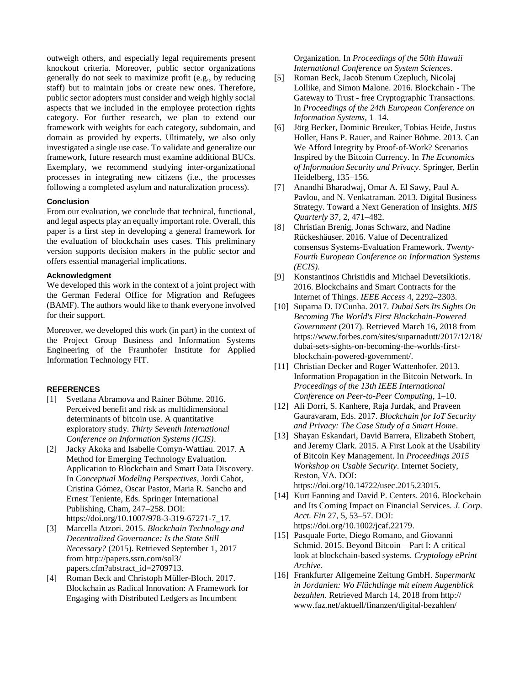outweigh others, and especially legal requirements present knockout criteria. Moreover, public sector organizations generally do not seek to maximize profit (e.g., by reducing staff) but to maintain jobs or create new ones. Therefore, public sector adopters must consider and weigh highly social aspects that we included in the employee protection rights category. For further research, we plan to extend our framework with weights for each category, subdomain, and domain as provided by experts. Ultimately, we also only investigated a single use case. To validate and generalize our framework, future research must examine additional BUCs. Exemplary, we recommend studying inter-organizational processes in integrating new citizens (i.e., the processes following a completed asylum and naturalization process).

## **Conclusion**

From our evaluation, we conclude that technical, functional, and legal aspects play an equally important role. Overall, this paper is a first step in developing a general framework for the evaluation of blockchain uses cases. This preliminary version supports decision makers in the public sector and offers essential managerial implications.

#### **Acknowledgment**

We developed this work in the context of a joint project with the German Federal Office for Migration and Refugees (BAMF). The authors would like to thank everyone involved for their support.

Moreover, we developed this work (in part) in the context of the Project Group Business and Information Systems Engineering of the Fraunhofer Institute for Applied Information Technology FIT.

## **REFERENCES**

- [1] Svetlana Abramova and Rainer Böhme. 2016. Perceived benefit and risk as multidimensional determinants of bitcoin use. A quantitative exploratory study. *Thirty Seventh International Conference on Information Systems (ICIS)*.
- [2] Jacky Akoka and Isabelle Comyn-Wattiau. 2017. A Method for Emerging Technology Evaluation. Application to Blockchain and Smart Data Discovery. In *Conceptual Modeling Perspectives*, Jordi Cabot, Cristina Gómez, Oscar Pastor, Maria R. Sancho and Ernest Teniente, Eds. Springer International Publishing, Cham, 247–258. DOI: https://doi.org/10.1007/978-3-319-67271-7\_17.
- [3] Marcella Atzori. 2015. *Blockchain Technology and Decentralized Governance: Is the State Still Necessary?* (2015). Retrieved September 1, 2017 from http://papers.ssrn.com/sol3/ papers.cfm?abstract\_id=2709713.
- [4] Roman Beck and Christoph Müller-Bloch. 2017. Blockchain as Radical Innovation: A Framework for Engaging with Distributed Ledgers as Incumbent

Organization. In *Proceedings of the 50th Hawaii International Conference on System Sciences*.

- [5] Roman Beck, Jacob Stenum Czepluch, Nicolaj Lollike, and Simon Malone. 2016. Blockchain - The Gateway to Trust - free Cryptographic Transactions. In *Proceedings of the 24th European Conference on Information Systems*, 1–14.
- [6] Jörg Becker, Dominic Breuker, Tobias Heide, Justus Holler, Hans P. Rauer, and Rainer Böhme. 2013. Can We Afford Integrity by Proof-of-Work? Scenarios Inspired by the Bitcoin Currency. In *The Economics of Information Security and Privacy*. Springer, Berlin Heidelberg, 135–156.
- [7] Anandhi Bharadwaj, Omar A. El Sawy, Paul A. Pavlou, and N. Venkatraman. 2013. Digital Business Strategy. Toward a Next Generation of Insights. *MIS Quarterly* 37, 2, 471–482.
- [8] Christian Brenig, Jonas Schwarz, and Nadine Rückeshäuser. 2016. Value of Decentralized consensus Systems-Evaluation Framework. *Twenty-Fourth European Conference on Information Systems (ECIS)*.
- [9] Konstantinos Christidis and Michael Devetsikiotis. 2016. Blockchains and Smart Contracts for the Internet of Things. *IEEE Access* 4, 2292–2303.
- [10] Suparna D. D'Cunha. 2017. *Dubai Sets Its Sights On Becoming The World's First Blockchain-Powered Government* (2017). Retrieved March 16, 2018 from https://www.forbes.com/sites/suparnadutt/2017/12/18/ dubai-sets-sights-on-becoming-the-worlds-firstblockchain-powered-government/.
- [11] Christian Decker and Roger Wattenhofer. 2013. Information Propagation in the Bitcoin Network. In *Proceedings of the 13th IEEE International Conference on Peer-to-Peer Computing*, 1–10.
- [12] Ali Dorri, S. Kanhere, Raja Jurdak, and Praveen Gauravaram, Eds. 2017. *Blockchain for IoT Security and Privacy: The Case Study of a Smart Home*.
- [13] Shayan Eskandari, David Barrera, Elizabeth Stobert, and Jeremy Clark. 2015. A First Look at the Usability of Bitcoin Key Management. In *Proceedings 2015 Workshop on Usable Security*. Internet Society, Reston, VA. DOI: https://doi.org/10.14722/usec.2015.23015.
- [14] Kurt Fanning and David P. Centers. 2016. Blockchain and Its Coming Impact on Financial Services. *J. Corp. Acct. Fin* 27, 5, 53–57. DOI: https://doi.org/10.1002/jcaf.22179.
- [15] Pasquale Forte, Diego Romano, and Giovanni Schmid. 2015. Beyond Bitcoin – Part I: A critical look at blockchain-based systems. *Cryptology ePrint Archive*.
- [16] Frankfurter Allgemeine Zeitung GmbH. *Supermarkt in Jordanien: Wo Flüchtlinge mit einem Augenblick bezahlen*. Retrieved March 14, 2018 from http:// www.faz.net/aktuell/finanzen/digital-bezahlen/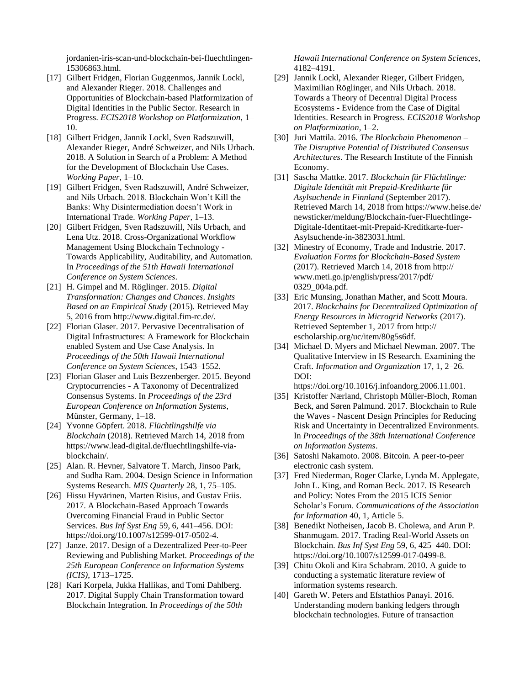jordanien-iris-scan-und-blockchain-bei-fluechtlingen-15306863.html.

- [17] Gilbert Fridgen, Florian Guggenmos, Jannik Lockl, and Alexander Rieger. 2018. Challenges and Opportunities of Blockchain-based Platformization of Digital Identities in the Public Sector. Research in Progress. *ECIS2018 Workshop on Platformization*, 1– 10.
- [18] Gilbert Fridgen, Jannik Lockl, Sven Radszuwill, Alexander Rieger, André Schweizer, and Nils Urbach. 2018. A Solution in Search of a Problem: A Method for the Development of Blockchain Use Cases. *Working Paper*, 1–10.
- [19] Gilbert Fridgen, Sven Radszuwill, André Schweizer, and Nils Urbach. 2018. Blockchain Won't Kill the Banks: Why Disintermediation doesn't Work in International Trade. *Working Paper*, 1–13.
- [20] Gilbert Fridgen, Sven Radszuwill, Nils Urbach, and Lena Utz. 2018. Cross-Organizational Workflow Management Using Blockchain Technology - Towards Applicability, Auditability, and Automation. In *Proceedings of the 51th Hawaii International Conference on System Sciences*.
- [21] H. Gimpel and M. Röglinger. 2015. *Digital Transformation: Changes and Chances*. *Insights Based on an Empirical Study* (2015). Retrieved May 5, 2016 from http://www.digital.fim-rc.de/.
- [22] Florian Glaser. 2017. Pervasive Decentralisation of Digital Infrastructures: A Framework for Blockchain enabled System and Use Case Analysis. In *Proceedings of the 50th Hawaii International Conference on System Sciences*, 1543–1552.
- [23] Florian Glaser and Luis Bezzenberger. 2015. Beyond Cryptocurrencies - A Taxonomy of Decentralized Consensus Systems. In *Proceedings of the 23rd European Conference on Information Systems*, Münster, Germany, 1–18.
- [24] Yvonne Göpfert. 2018. *Flüchtlingshilfe via Blockchain* (2018). Retrieved March 14, 2018 from https://www.lead-digital.de/fluechtlingshilfe-viablockchain/.
- [25] Alan. R. Hevner, Salvatore T. March, Jinsoo Park, and Sudha Ram. 2004. Design Science in Information Systems Research. *MIS Quarterly* 28, 1, 75–105.
- [26] Hissu Hyvärinen, Marten Risius, and Gustav Friis. 2017. A Blockchain-Based Approach Towards Overcoming Financial Fraud in Public Sector Services. *Bus Inf Syst Eng* 59, 6, 441–456. DOI: https://doi.org/10.1007/s12599-017-0502-4.
- [27] Janze. 2017. Design of a Dezentralized Peer-to-Peer Reviewing and Publishing Market. *Proceedings of the 25th European Conference on Information Systems (ICIS)*, 1713–1725.
- [28] Kari Korpela, Jukka Hallikas, and Tomi Dahlberg. 2017. Digital Supply Chain Transformation toward Blockchain Integration. In *Proceedings of the 50th*

*Hawaii International Conference on System Sciences*, 4182–4191.

- [29] Jannik Lockl, Alexander Rieger, Gilbert Fridgen, Maximilian Röglinger, and Nils Urbach. 2018. Towards a Theory of Decentral Digital Process Ecosystems - Evidence from the Case of Digital Identities. Research in Progress. *ECIS2018 Workshop on Platformization*, 1–2.
- [30] Juri Mattila. 2016. *The Blockchain Phenomenon – The Disruptive Potential of Distributed Consensus Architectures*. The Research Institute of the Finnish Economy.
- [31] Sascha Mattke. 2017. *Blockchain für Flüchtlinge: Digitale Identität mit Prepaid-Kreditkarte für Asylsuchende in Finnland* (September 2017). Retrieved March 14, 2018 from https://www.heise.de/ newsticker/meldung/Blockchain-fuer-Fluechtlinge-Digitale-Identitaet-mit-Prepaid-Kreditkarte-fuer-Asylsuchende-in-3823031.html.
- [32] Minestry of Economy, Trade and Industrie. 2017. *Evaluation Forms for Blockchain-Based System* (2017). Retrieved March 14, 2018 from http:// www.meti.go.jp/english/press/2017/pdf/ 0329\_004a.pdf.
- [33] Eric Munsing, Jonathan Mather, and Scott Moura. 2017. *Blockchains for Decentralized Optimization of Energy Resources in Microgrid Networks* (2017). Retrieved September 1, 2017 from http:// escholarship.org/uc/item/80g5s6df.
- [34] Michael D. Myers and Michael Newman. 2007. The Qualitative Interview in IS Research. Examining the Craft. *Information and Organization* 17, 1, 2–26. DOI:

https://doi.org/10.1016/j.infoandorg.2006.11.001.

- [35] Kristoffer Nærland, Christoph Müller-Bloch, Roman Beck, and Søren Palmund. 2017. Blockchain to Rule the Waves - Nascent Design Principles for Reducing Risk and Uncertainty in Decentralized Environments. In *Proceedings of the 38th International Conference on Information Systems*.
- [36] Satoshi Nakamoto. 2008. Bitcoin. A peer-to-peer electronic cash system.
- [37] Fred Niederman, Roger Clarke, Lynda M. Applegate, John L. King, and Roman Beck. 2017. IS Research and Policy: Notes From the 2015 ICIS Senior Scholar's Forum. *Communications of the Association for Information* 40, 1, Article 5.
- [38] Benedikt Notheisen, Jacob B. Cholewa, and Arun P. Shanmugam. 2017. Trading Real-World Assets on Blockchain. *Bus Inf Syst Eng* 59, 6, 425–440. DOI: https://doi.org/10.1007/s12599-017-0499-8.
- [39] Chitu Okoli and Kira Schabram. 2010. A guide to conducting a systematic literature review of information systems research.
- [40] Gareth W. Peters and Efstathios Panayi. 2016. Understanding modern banking ledgers through blockchain technologies. Future of transaction